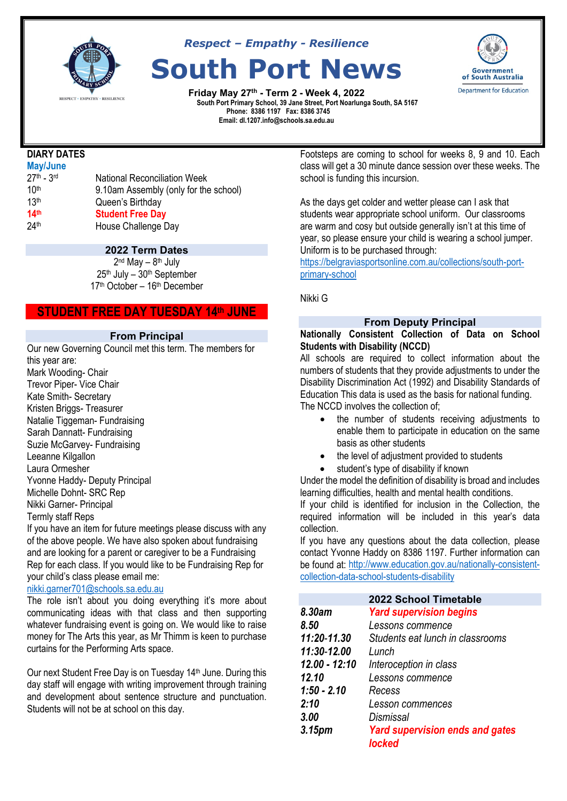

*Respect – Empathy - Resilience*

# **South Port News**

**Friday May 27th - Term 2 - Week 4, 2022EXERUTE A SOLLY SOLLY SESTLENCE**<br>South Port Primary School, 39 Jane Street, Port Noarlunga South, SA 5167  **Phone: 8386 1197 Fax: 8386 3745 Email: dl.1207.info@schools.sa.edu.au**



# **DIARY DATES**

| National Reconciliation Week          |
|---------------------------------------|
| 9.10am Assembly (only for the school) |
| Queen's Birthday                      |
| <b>Student Free Day</b>               |
| House Challenge Day                   |
|                                       |

# **2022 Term Dates**

 $2<sup>nd</sup>$  May  $-$  8<sup>th</sup> July 25th July – 30th September 17th October – 16th December

# **STUDENT FREE DAY TUESDAY 14th JUNE**

#### **From Principal**

Our new Governing Council met this term. The members for this year are: Mark Wooding- Chair Trevor Piper- Vice Chair Kate Smith- Secretary Kristen Briggs- Treasurer Natalie Tiggeman- Fundraising Sarah Dannatt- Fundraising Suzie McGarvey- Fundraising Leeanne Kilgallon Laura Ormesher Yvonne Haddy- Deputy Principal Michelle Dohnt- SRC Rep Nikki Garner- Principal

#### Termly staff Reps

If you have an item for future meetings please discuss with any of the above people. We have also spoken about fundraising and are looking for a parent or caregiver to be a Fundraising Rep for each class. If you would like to be Fundraising Rep for your child's class please email me:

#### [nikki.garner701@schools.sa.edu.au](mailto:nikki.garner701@schools.sa.edu.au)

The role isn't about you doing everything it's more about communicating ideas with that class and then supporting whatever fundraising event is going on. We would like to raise money for The Arts this year, as Mr Thimm is keen to purchase curtains for the Performing Arts space.

Our next Student Free Day is on Tuesday 14th June. During this day staff will engage with writing improvement through training and development about sentence structure and punctuation. Students will not be at school on this day.

Footsteps are coming to school for weeks 8, 9 and 10. Each class will get a 30 minute dance session over these weeks. The school is funding this incursion.

As the days get colder and wetter please can I ask that students wear appropriate school uniform. Our classrooms are warm and cosy but outside generally isn't at this time of year, so please ensure your child is wearing a school jumper. Uniform is to be purchased through:

[https://belgraviasportsonline.com.au/collections/south-port](https://belgraviasportsonline.com.au/collections/south-port-primary-school)[primary-school](https://belgraviasportsonline.com.au/collections/south-port-primary-school)

Nikki G

# **From Deputy Principal**

#### **Nationally Consistent Collection of Data on School Students with Disability (NCCD)**

All schools are required to collect information about the numbers of students that they provide adjustments to under the Disability Discrimination Act (1992) and Disability Standards of Education This data is used as the basis for national funding. The NCCD involves the collection of;

- the number of students receiving adjustments to enable them to participate in education on the same basis as other students
- the level of adjustment provided to students
- student's type of disability if known

Under the model the definition of disability is broad and includes learning difficulties, health and mental health conditions.

If your child is identified for inclusion in the Collection, the required information will be included in this year's data collection.

If you have any questions about the data collection, please contact Yvonne Haddy on 8386 1197. Further information can be found at: [http://www.education.gov.au/nationally-consistent](http://www.education.gov.au/nationally-consistent-collection-data-school-students-disability)[collection-data-school-students-disability](http://www.education.gov.au/nationally-consistent-collection-data-school-students-disability)

|                    | 2022 School Timetable                                   |
|--------------------|---------------------------------------------------------|
| 8.30am             | <b>Yard supervision begins</b>                          |
| 8.50               | Lessons commence                                        |
| 11:20-11.30        | Students eat lunch in classrooms                        |
| 11:30-12.00        | Lunch                                                   |
| $12.00 - 12:10$    | Interoception in class                                  |
| 12.10              | Lessons commence                                        |
| $1:50 - 2.10$      | Recess                                                  |
| 2:10               | Lesson commences                                        |
| 3.00               | Dismissal                                               |
| 3.15 <sub>pm</sub> | <b>Yard supervision ends and gates</b><br><b>locked</b> |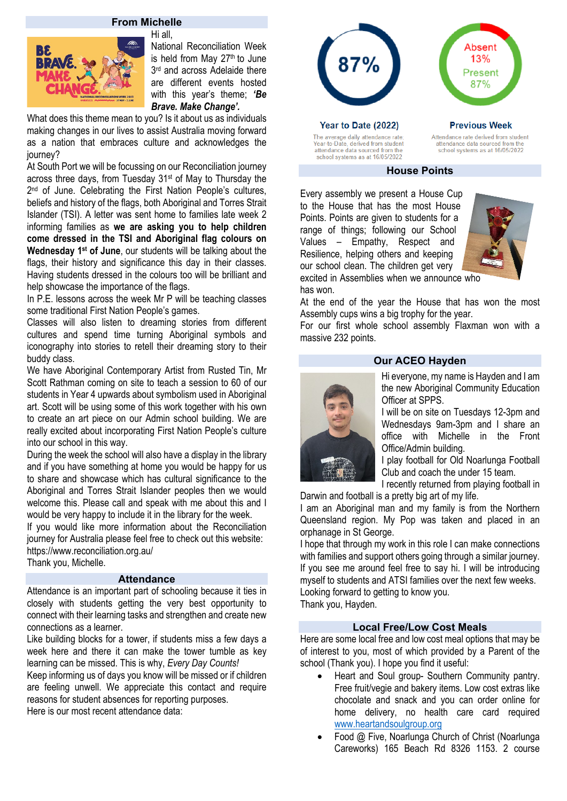# **From Michelle**

Hi all,



National Reconciliation Week is held from May  $27<sup>th</sup>$  to June 3<sup>rd</sup> and across Adelaide there are different events hosted with this year's theme; *'Be Brave. Make Change'.* 

What does this theme mean to you? Is it about us as individuals making changes in our lives to assist Australia moving forward as a nation that embraces culture and acknowledges the journey?

At South Port we will be focussing on our Reconciliation journey across three days, from Tuesday 31st of May to Thursday the 2<sup>nd</sup> of June. Celebrating the First Nation People's cultures, beliefs and history of the flags, both Aboriginal and Torres Strait Islander (TSI). A letter was sent home to families late week 2 informing families as **we are asking you to help children come dressed in the TSI and Aboriginal flag colours on Wednesday 1st of June**, our students will be talking about the flags, their history and significance this day in their classes. Having students dressed in the colours too will be brilliant and help showcase the importance of the flags.

In P.E. lessons across the week Mr P will be teaching classes some traditional First Nation People's games.

Classes will also listen to dreaming stories from different cultures and spend time turning Aboriginal symbols and iconography into stories to retell their dreaming story to their buddy class.

We have Aboriginal Contemporary Artist from Rusted Tin, Mr Scott Rathman coming on site to teach a session to 60 of our students in Year 4 upwards about symbolism used in Aboriginal art. Scott will be using some of this work together with his own to create an art piece on our Admin school building. We are really excited about incorporating First Nation People's culture into our school in this way.

During the week the school will also have a display in the library and if you have something at home you would be happy for us to share and showcase which has cultural significance to the Aboriginal and Torres Strait Islander peoples then we would welcome this. Please call and speak with me about this and I would be very happy to include it in the library for the week.

If you would like more information about the Reconciliation journey for Australia please feel free to check out this website: https://www.reconciliation.org.au/

Thank you, Michelle.

#### **Attendance**

Attendance is an important part of schooling because it ties in closely with students getting the very best opportunity to connect with their learning tasks and strengthen and create new connections as a learner.

Like building blocks for a tower, if students miss a few days a week here and there it can make the tower tumble as key learning can be missed. This is why, *Every Day Counts!* 

Keep informing us of days you know will be missed or if children are feeling unwell. We appreciate this contact and require reasons for student absences for reporting purposes. Here is our most recent attendance data:



#### **House Points**

Every assembly we present a House Cup to the House that has the most House Points. Points are given to students for a range of things; following our School Values – Empathy, Respect and Resilience, helping others and keeping our school clean. The children get very



excited in Assemblies when we announce who has won.

At the end of the year the House that has won the most Assembly cups wins a big trophy for the year.

For our first whole school assembly Flaxman won with a massive 232 points.

# **Our ACEO Hayden**



Hi everyone, my name is Hayden and I am the new Aboriginal Community Education Officer at SPPS.

I will be on site on Tuesdays 12-3pm and Wednesdays 9am-3pm and I share an office with Michelle in the Front Office/Admin building.

I play football for Old Noarlunga Football Club and coach the under 15 team.

I recently returned from playing football in Darwin and football is a pretty big art of my life.

I am an Aboriginal man and my family is from the Northern Queensland region. My Pop was taken and placed in an orphanage in St George.

I hope that through my work in this role I can make connections with families and support others going through a similar journey. If you see me around feel free to say hi. I will be introducing myself to students and ATSI families over the next few weeks. Looking forward to getting to know you. Thank you, Hayden.

#### **Local Free/Low Cost Meals**

Here are some local free and low cost meal options that may be of interest to you, most of which provided by a Parent of the school (Thank you). I hope you find it useful:

- Heart and Soul group- Southern Community pantry. Free fruit/vegie and bakery items. Low cost extras like chocolate and snack and you can order online for home delivery, no health care card required [www.heartandsoulgroup.org](http://www.heartandsoulgroup.org/)
- Food @ Five, Noarlunga Church of Christ (Noarlunga Careworks) 165 Beach Rd 8326 1153. 2 course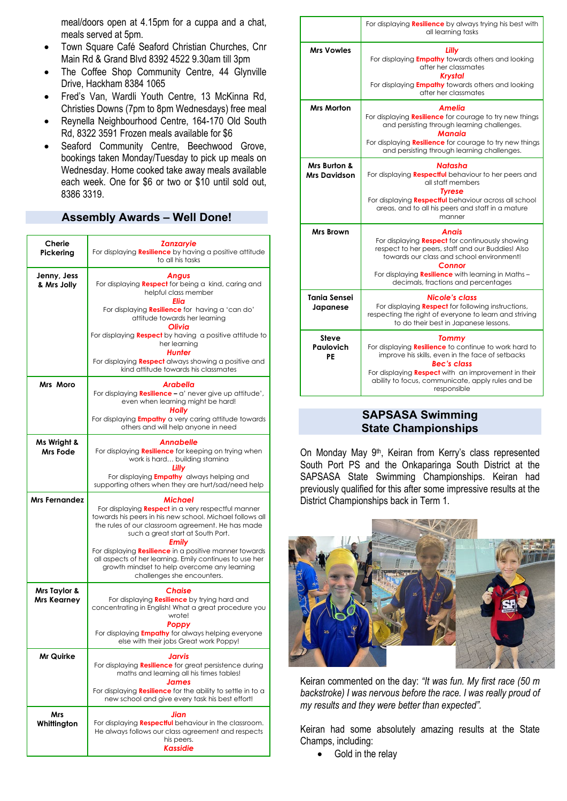meal/doors open at 4.15pm for a cuppa and a chat, meals served at 5pm.

- Town Square Café Seaford Christian Churches, Cnr Main Rd & Grand Blvd 8392 4522 9.30am till 3pm
- The Coffee Shop Community Centre, 44 Glynville Drive, Hackham 8384 1065
- Fred's Van, Wardli Youth Centre, 13 McKinna Rd, Christies Downs (7pm to 8pm Wednesdays) free meal
- Reynella Neighbourhood Centre, 164-170 Old South Rd, 8322 3591 Frozen meals available for \$6
- Seaford Community Centre, Beechwood Grove, bookings taken Monday/Tuesday to pick up meals on Wednesday. Home cooked take away meals available each week. One for \$6 or two or \$10 until sold out, 8386 3319.

# **Assembly Awards – Well Done!**

| Cherie<br>Pickerina                | <b>Zanzaryie</b><br>For displaying <b>Resilience</b> by having a positive attitude<br>to all his tasks                                                                                                                                                                                                                                                                                                                                               |
|------------------------------------|------------------------------------------------------------------------------------------------------------------------------------------------------------------------------------------------------------------------------------------------------------------------------------------------------------------------------------------------------------------------------------------------------------------------------------------------------|
| Jenny, Jess<br>& Mrs Jolly         | <b>Angus</b><br>For displaying Respect for being a kind, caring and<br>helpful class member<br>Elia                                                                                                                                                                                                                                                                                                                                                  |
|                                    | For displaying <b>Resilience</b> for having a 'can do'<br>attitude towards her learning<br>Olivia                                                                                                                                                                                                                                                                                                                                                    |
|                                    | For displaying <b>Respect</b> by having a positive attitude to<br>her learning<br>Hunter                                                                                                                                                                                                                                                                                                                                                             |
|                                    | For displaying <b>Respect</b> always showing a positive and<br>kind attitude towards his classmates                                                                                                                                                                                                                                                                                                                                                  |
| Mrs Moro                           | <b>Arabella</b><br>For displaying <b>Resilience</b> - a' never give up attitude',<br>even when learning might be hard!<br>Holly<br>For displaying <b>Empathy</b> a very caring attitude towards<br>others and will help anyone in need                                                                                                                                                                                                               |
| Ms Wright &<br>Mrs Fode            | Annabelle<br>For displaying Resilience for keeping on trying when<br>work is hard building stamina<br>Lilly<br>For displaying <i>Empathy</i> always helping and                                                                                                                                                                                                                                                                                      |
|                                    | supporting others when they are hurt/sad/need help                                                                                                                                                                                                                                                                                                                                                                                                   |
|                                    |                                                                                                                                                                                                                                                                                                                                                                                                                                                      |
| <b>Mrs Fernandez</b>               | <b>Michael</b><br>For displaying <b>Respect</b> in a very respectful manner<br>towards his peers in his new school. Michael follows all<br>the rules of our classroom agreement. He has made<br>such a great start at South Port.<br>Emily<br>For displaying <b>Resilience</b> in a positive manner towards<br>all aspects of her learning. Emily continues to use her<br>growth mindset to help overcome any learning<br>challenges she encounters. |
| Mrs Taylor &<br><b>Mrs Kearney</b> | <b>Chaise</b><br>For displaying <b>Resilience</b> by trying hard and<br>concentrating in English! What a great procedure you<br>wrote!<br>Poppy                                                                                                                                                                                                                                                                                                      |
|                                    | For displaying <b>Empathy</b> for always helping everyone<br>else with their jobs Great work Poppy!                                                                                                                                                                                                                                                                                                                                                  |
| Mr Quirke                          | Jarvis<br>For displaying Resilience for great persistence during<br>maths and learning all his times tables!<br><b>James</b><br>For displaying Resilience for the ability to settle in to a<br>new school and give every task his best effort!                                                                                                                                                                                                       |

|                                        | For displaying <b>Resilience</b> by always trying his best with<br>all learning tasks                                                                                                                                                                                             |
|----------------------------------------|-----------------------------------------------------------------------------------------------------------------------------------------------------------------------------------------------------------------------------------------------------------------------------------|
| <b>Mrs Vowles</b>                      | Lilly<br>For displaying <b>Empathy</b> towards others and looking<br>after her classmates<br><b>Krystal</b><br>For displaying <b>Empathy</b> towards others and looking<br>after her classmates                                                                                   |
| <b>Mrs Morton</b>                      | Amelia<br>For displaying <b>Resilience</b> for courage to try new things<br>and persisting through learning challenges.<br>Manaia<br>For displaying <b>Resilience</b> for courage to try new things<br>and persisting through learning challenges.                                |
| Mrs Burton &<br><b>Mrs Davidson</b>    | Natasha<br>For displaying <b>Respectful</b> behaviour to her peers and<br>all staff members<br><b>Tyrese</b><br>For displaying <b>Respectful</b> behaviour across all school<br>areas, and to all his peers and staff in a mature<br>manner                                       |
| <b>Mrs Brown</b>                       | Anais<br>For displaying <b>Respect</b> for continuously showing<br>respect to her peers, staff and our Buddies! Also<br>towards our class and school environment!<br>Connor<br>For displaying <b>Resilience</b> with learning in Maths -<br>decimals, fractions and percentages   |
| <b>Tania Sensei</b><br>Japanese        | <b>Nicole's class</b><br>For displaying <b>Respect</b> for following instructions,<br>respecting the right of everyone to learn and striving<br>to do their best in Japanese lessons.                                                                                             |
| <b>Steve</b><br><b>Paulovich</b><br>PE | <b>Tommy</b><br>For displaying Resilience to continue to work hard to<br>improve his skills, even in the face of setbacks<br><b>Bec's class</b><br>For displaying <b>Respect</b> with an improvement in their<br>ability to focus, communicate, apply rules and be<br>responsible |

#### **SAPSASA Swimming State Championships**

On Monday May 9th, Keiran from Kerry's class represented South Port PS and the Onkaparinga South District at the SAPSASA State Swimming Championships. Keiran had previously qualified for this after some impressive results at the District Championships back in Term 1.



Keiran commented on the day: *"It was fun. My first race (50 m backstroke) I was nervous before the race. I was really proud of my results and they were better than expected".*

Keiran had some absolutely amazing results at the State Champs, including:

• Gold in the relay